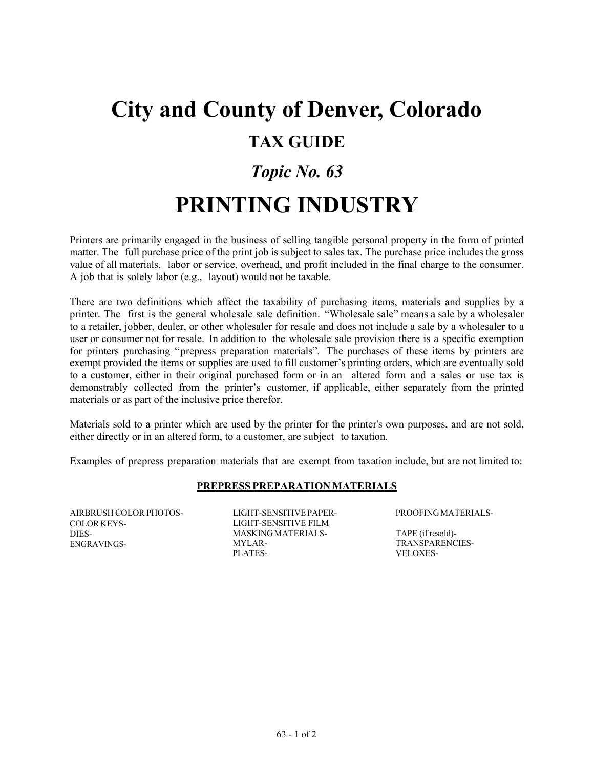# **City and County of Denver, Colorado TAX GUIDE** *Topic No. 63* **PRINTING INDUSTRY**

Printers are primarily engaged in the business of selling tangible personal property in the form of printed matter. The full purchase price of the print job is subject to sales tax. The purchase price includes the gross value of all materials, labor or service, overhead, and profit included in the final charge to the consumer. A job that is solely labor (e.g., layout) would not be taxable.

There are two definitions which affect the taxability of purchasing items, materials and supplies by a printer. The first is the general wholesale sale definition. "Wholesale sale" means a sale by a wholesaler to a retailer, jobber, dealer, or other wholesaler for resale and does not include a sale by a wholesaler to a user or consumer not for resale. In addition to the wholesale sale provision there is a specific exemption for printers purchasing "prepress preparation materials". The purchases of these items by printers are exempt provided the items or supplies are used to fill customer's printing orders, which are eventually sold to a customer, either in their original purchased form or in an altered form and a sales or use tax is demonstrably collected from the printer's customer, if applicable, either separately from the printed materials or as part of the inclusive price therefor.

Materials sold to a printer which are used by the printer for the printer's own purposes, and are not sold, either directly or in an altered form, to a customer, are subject to taxation.

Examples of prepress preparation materials that are exempt from taxation include, but are not limited to:

#### **PREPRESS PREPARATION MATERIALS**

AIRBRUSH COLOR PHOTOS-COLOR KEYS-DIES-ENGRAVINGS-

LIGHT-SENSITIVEPAPER-LIGHT-SENSITIVE FILM MASKINGMATERIALS-MYLAR-PLATES-

PROOFING MATERIALS-

TAPE (if resold)- TRANSPARENCIES-VELOXES-